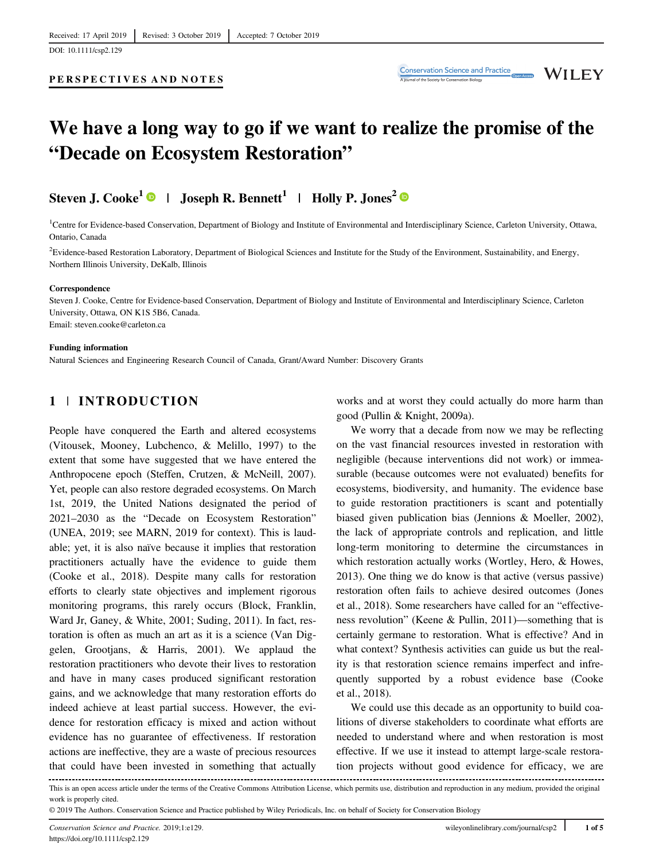**WILEY** 

# We have a long way to go if we want to realize the promise of the "Decade on Ecosystem Restoration"

# Steven J. Cooke<sup>1</sup> | Joseph R. Bennett<sup>1</sup> | Holly P. Jones<sup>2</sup>  $\bullet$

<sup>1</sup>Centre for Evidence-based Conservation, Department of Biology and Institute of Environmental and Interdisciplinary Science, Carleton University, Ottawa, Ontario, Canada

2 Evidence-based Restoration Laboratory, Department of Biological Sciences and Institute for the Study of the Environment, Sustainability, and Energy, Northern Illinois University, DeKalb, Illinois

#### Correspondence

Steven J. Cooke, Centre for Evidence-based Conservation, Department of Biology and Institute of Environmental and Interdisciplinary Science, Carleton University, Ottawa, ON K1S 5B6, Canada. Email: [steven.cooke@carleton.ca](mailto:steven.cooke@carleton.ca)

#### Funding information

Natural Sciences and Engineering Research Council of Canada, Grant/Award Number: Discovery Grants

### 1 | INTRODUCTION

People have conquered the Earth and altered ecosystems (Vitousek, Mooney, Lubchenco, & Melillo, 1997) to the extent that some have suggested that we have entered the Anthropocene epoch (Steffen, Crutzen, & McNeill, 2007). Yet, people can also restore degraded ecosystems. On March 1st, 2019, the United Nations designated the period of 2021–2030 as the "Decade on Ecosystem Restoration" (UNEA, 2019; see MARN, 2019 for context). This is laudable; yet, it is also naïve because it implies that restoration practitioners actually have the evidence to guide them (Cooke et al., 2018). Despite many calls for restoration efforts to clearly state objectives and implement rigorous monitoring programs, this rarely occurs (Block, Franklin, Ward Jr, Ganey, & White, 2001; Suding, 2011). In fact, restoration is often as much an art as it is a science (Van Diggelen, Grootjans, & Harris, 2001). We applaud the restoration practitioners who devote their lives to restoration and have in many cases produced significant restoration gains, and we acknowledge that many restoration efforts do indeed achieve at least partial success. However, the evidence for restoration efficacy is mixed and action without evidence has no guarantee of effectiveness. If restoration actions are ineffective, they are a waste of precious resources that could have been invested in something that actually

works and at worst they could actually do more harm than good (Pullin & Knight, 2009a).

We worry that a decade from now we may be reflecting on the vast financial resources invested in restoration with negligible (because interventions did not work) or immeasurable (because outcomes were not evaluated) benefits for ecosystems, biodiversity, and humanity. The evidence base to guide restoration practitioners is scant and potentially biased given publication bias (Jennions & Moeller, 2002), the lack of appropriate controls and replication, and little long-term monitoring to determine the circumstances in which restoration actually works (Wortley, Hero, & Howes, 2013). One thing we do know is that active (versus passive) restoration often fails to achieve desired outcomes (Jones et al., 2018). Some researchers have called for an "effectiveness revolution" (Keene & Pullin, 2011)—something that is certainly germane to restoration. What is effective? And in what context? Synthesis activities can guide us but the reality is that restoration science remains imperfect and infrequently supported by a robust evidence base (Cooke et al., 2018).

We could use this decade as an opportunity to build coalitions of diverse stakeholders to coordinate what efforts are needed to understand where and when restoration is most effective. If we use it instead to attempt large-scale restoration projects without good evidence for efficacy, we are

This is an open access article under the terms of the [Creative Commons Attribution](http://creativecommons.org/licenses/by/4.0/) License, which permits use, distribution and reproduction in any medium, provided the original work is properly cited.

© 2019 The Authors. Conservation Science and Practice published by Wiley Periodicals, Inc. on behalf of Society for Conservation Biology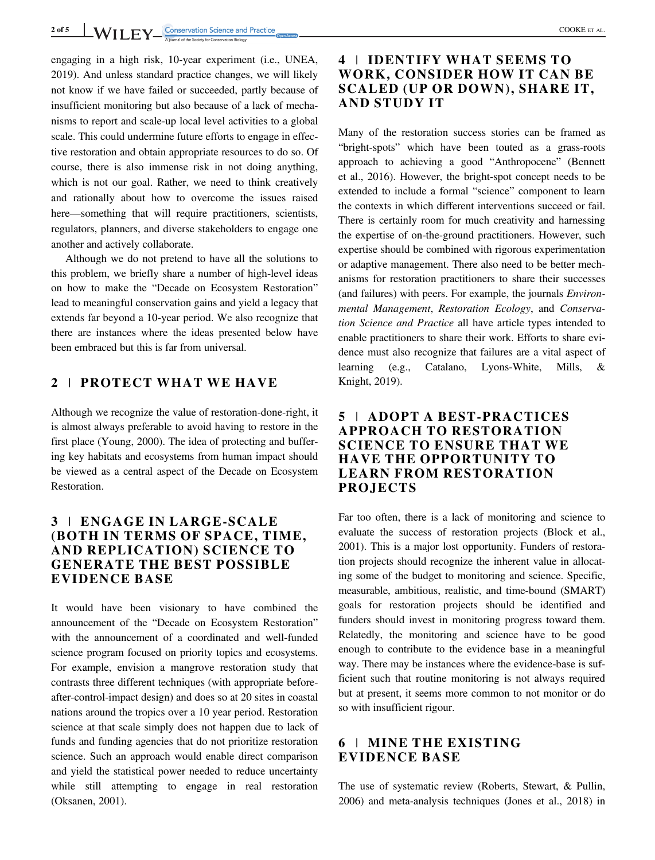engaging in a high risk, 10-year experiment (i.e., UNEA, 2019). And unless standard practice changes, we will likely not know if we have failed or succeeded, partly because of insufficient monitoring but also because of a lack of mechanisms to report and scale-up local level activities to a global scale. This could undermine future efforts to engage in effective restoration and obtain appropriate resources to do so. Of course, there is also immense risk in not doing anything, which is not our goal. Rather, we need to think creatively and rationally about how to overcome the issues raised here—something that will require practitioners, scientists, regulators, planners, and diverse stakeholders to engage one another and actively collaborate.

Although we do not pretend to have all the solutions to this problem, we briefly share a number of high-level ideas on how to make the "Decade on Ecosystem Restoration" lead to meaningful conservation gains and yield a legacy that extends far beyond a 10-year period. We also recognize that there are instances where the ideas presented below have been embraced but this is far from universal.

### 2 | PROTECT WHAT WE HAVE

Although we recognize the value of restoration-done-right, it is almost always preferable to avoid having to restore in the first place (Young, 2000). The idea of protecting and buffering key habitats and ecosystems from human impact should be viewed as a central aspect of the Decade on Ecosystem Restoration.

### 3 | ENGAGE IN LARGE-SCALE (BOTH IN TERMS OF SPACE, TIME, AND REPLICATION) SCIENCE TO GENERATE THE BEST POSSIBLE EVIDENCE BASE

It would have been visionary to have combined the announcement of the "Decade on Ecosystem Restoration" with the announcement of a coordinated and well-funded science program focused on priority topics and ecosystems. For example, envision a mangrove restoration study that contrasts three different techniques (with appropriate beforeafter-control-impact design) and does so at 20 sites in coastal nations around the tropics over a 10 year period. Restoration science at that scale simply does not happen due to lack of funds and funding agencies that do not prioritize restoration science. Such an approach would enable direct comparison and yield the statistical power needed to reduce uncertainty while still attempting to engage in real restoration (Oksanen, 2001).

#### 4 | IDENTIFY WHAT SEEMS TO WORK, CONSIDER HOW IT CAN BE SCALED (UP OR DOWN), SHARE IT, AND STUDY IT

Many of the restoration success stories can be framed as "bright-spots" which have been touted as a grass-roots approach to achieving a good "Anthropocene" (Bennett et al., 2016). However, the bright-spot concept needs to be extended to include a formal "science" component to learn the contexts in which different interventions succeed or fail. There is certainly room for much creativity and harnessing the expertise of on-the-ground practitioners. However, such expertise should be combined with rigorous experimentation or adaptive management. There also need to be better mechanisms for restoration practitioners to share their successes (and failures) with peers. For example, the journals Environmental Management, Restoration Ecology, and Conservation Science and Practice all have article types intended to enable practitioners to share their work. Efforts to share evidence must also recognize that failures are a vital aspect of learning (e.g., Catalano, Lyons-White, Mills, & Knight, 2019).

### 5 | ADOPT A BEST-PRACTICES APPROACH TO RESTORATION SCIENCE TO ENSURE THAT WE HAVE THE OPPORTUNITY TO LEARN FROM RESTORATION PROJECTS

Far too often, there is a lack of monitoring and science to evaluate the success of restoration projects (Block et al., 2001). This is a major lost opportunity. Funders of restoration projects should recognize the inherent value in allocating some of the budget to monitoring and science. Specific, measurable, ambitious, realistic, and time-bound (SMART) goals for restoration projects should be identified and funders should invest in monitoring progress toward them. Relatedly, the monitoring and science have to be good enough to contribute to the evidence base in a meaningful way. There may be instances where the evidence-base is sufficient such that routine monitoring is not always required but at present, it seems more common to not monitor or do so with insufficient rigour.

#### 6 | MINE THE EXISTING EVIDENCE BASE

The use of systematic review (Roberts, Stewart, & Pullin, 2006) and meta-analysis techniques (Jones et al., 2018) in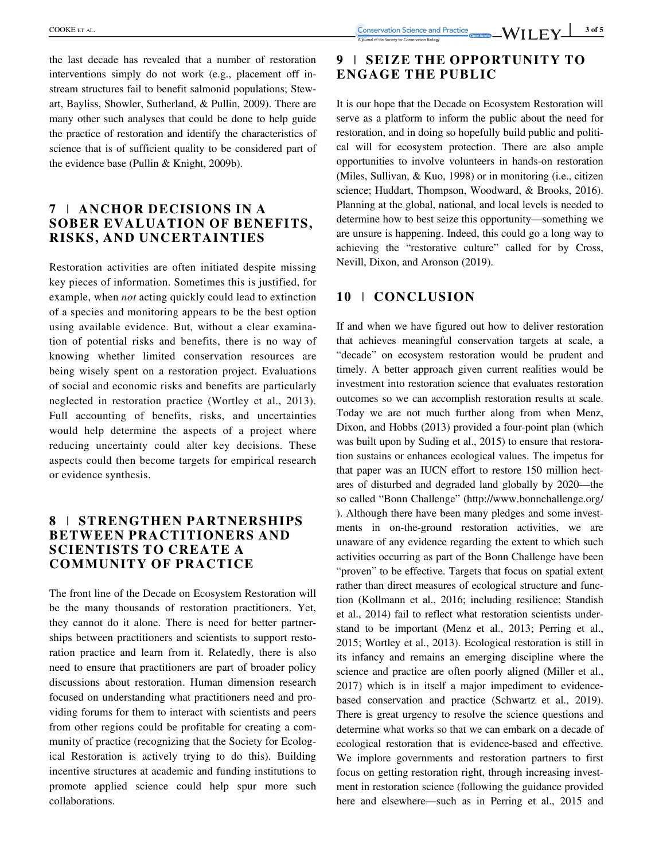the last decade has revealed that a number of restoration interventions simply do not work (e.g., placement off instream structures fail to benefit salmonid populations; Stewart, Bayliss, Showler, Sutherland, & Pullin, 2009). There are many other such analyses that could be done to help guide the practice of restoration and identify the characteristics of science that is of sufficient quality to be considered part of the evidence base (Pullin & Knight, 2009b).

### 7 | ANCHOR DECISIONS IN A SOBER EVALUATION OF BENEFITS, RISKS, AND UNCERTAINTIES

Restoration activities are often initiated despite missing key pieces of information. Sometimes this is justified, for example, when not acting quickly could lead to extinction of a species and monitoring appears to be the best option using available evidence. But, without a clear examination of potential risks and benefits, there is no way of knowing whether limited conservation resources are being wisely spent on a restoration project. Evaluations of social and economic risks and benefits are particularly neglected in restoration practice (Wortley et al., 2013). Full accounting of benefits, risks, and uncertainties would help determine the aspects of a project where reducing uncertainty could alter key decisions. These aspects could then become targets for empirical research or evidence synthesis.

### 8 | STRENGTHEN PARTNERSHIPS BETWEEN PRACTITIONERS AND SCIENTISTS TO CREATE A COMMUNITY OF PRACTICE

The front line of the Decade on Ecosystem Restoration will be the many thousands of restoration practitioners. Yet, they cannot do it alone. There is need for better partnerships between practitioners and scientists to support restoration practice and learn from it. Relatedly, there is also need to ensure that practitioners are part of broader policy discussions about restoration. Human dimension research focused on understanding what practitioners need and providing forums for them to interact with scientists and peers from other regions could be profitable for creating a community of practice (recognizing that the Society for Ecological Restoration is actively trying to do this). Building incentive structures at academic and funding institutions to promote applied science could help spur more such collaborations.

## 9 | SEIZE THE OPPORTUNITY TO ENGAGE THE PUBLIC

It is our hope that the Decade on Ecosystem Restoration will serve as a platform to inform the public about the need for restoration, and in doing so hopefully build public and political will for ecosystem protection. There are also ample opportunities to involve volunteers in hands-on restoration (Miles, Sullivan, & Kuo, 1998) or in monitoring (i.e., citizen science; Huddart, Thompson, Woodward, & Brooks, 2016). Planning at the global, national, and local levels is needed to determine how to best seize this opportunity—something we are unsure is happening. Indeed, this could go a long way to achieving the "restorative culture" called for by Cross, Nevill, Dixon, and Aronson (2019).

### 10 | CONCLUSION

If and when we have figured out how to deliver restoration that achieves meaningful conservation targets at scale, a "decade" on ecosystem restoration would be prudent and timely. A better approach given current realities would be investment into restoration science that evaluates restoration outcomes so we can accomplish restoration results at scale. Today we are not much further along from when Menz, Dixon, and Hobbs (2013) provided a four-point plan (which was built upon by Suding et al., 2015) to ensure that restoration sustains or enhances ecological values. The impetus for that paper was an IUCN effort to restore 150 million hectares of disturbed and degraded land globally by 2020—the so called "Bonn Challenge" (http://www.bonnchallenge.org/ ). Although there have been many pledges and some investments in on-the-ground restoration activities, we are unaware of any evidence regarding the extent to which such activities occurring as part of the Bonn Challenge have been "proven" to be effective. Targets that focus on spatial extent rather than direct measures of ecological structure and function (Kollmann et al., 2016; including resilience; Standish et al., 2014) fail to reflect what restoration scientists understand to be important (Menz et al., 2013; Perring et al., 2015; Wortley et al., 2013). Ecological restoration is still in its infancy and remains an emerging discipline where the science and practice are often poorly aligned (Miller et al., 2017) which is in itself a major impediment to evidencebased conservation and practice (Schwartz et al., 2019). There is great urgency to resolve the science questions and determine what works so that we can embark on a decade of ecological restoration that is evidence-based and effective. We implore governments and restoration partners to first focus on getting restoration right, through increasing investment in restoration science (following the guidance provided here and elsewhere—such as in Perring et al., 2015 and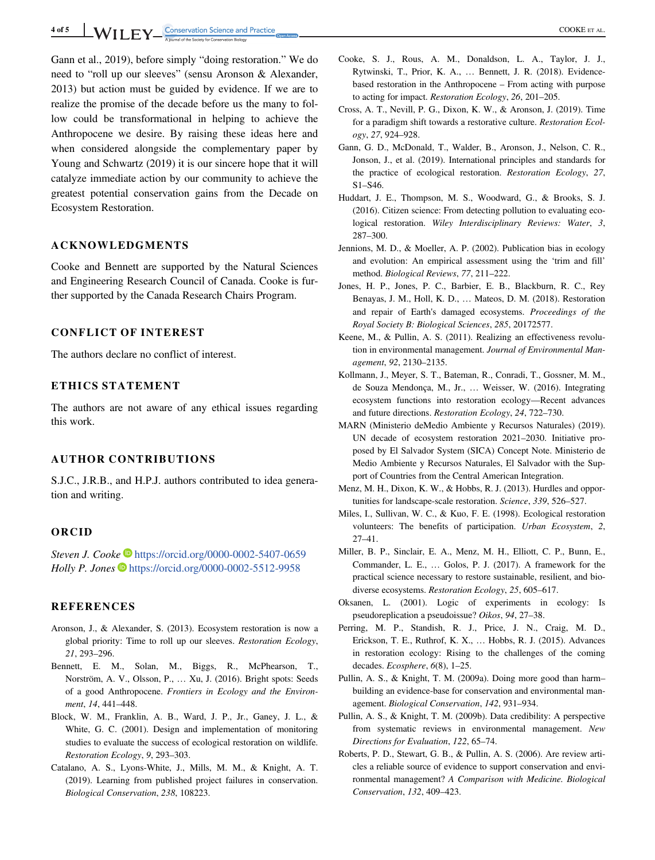4 of 5 WII FY Conservation Science and Practice Conservation Science and Practice Conservation

Gann et al., 2019), before simply "doing restoration." We do need to "roll up our sleeves" (sensu Aronson & Alexander, 2013) but action must be guided by evidence. If we are to realize the promise of the decade before us the many to follow could be transformational in helping to achieve the Anthropocene we desire. By raising these ideas here and when considered alongside the complementary paper by Young and Schwartz (2019) it is our sincere hope that it will catalyze immediate action by our community to achieve the greatest potential conservation gains from the Decade on Ecosystem Restoration.

#### ACKNOWLEDGMENTS

Cooke and Bennett are supported by the Natural Sciences and Engineering Research Council of Canada. Cooke is further supported by the Canada Research Chairs Program.

#### CONFLICT OF INTEREST

The authors declare no conflict of interest.

#### ETHICS STATEMENT

The authors are not aware of any ethical issues regarding this work.

#### AUTHOR CONTRIBUTIONS

S.J.C., J.R.B., and H.P.J. authors contributed to idea generation and writing.

#### ORCID

Steven J. Cooke **<https://orcid.org/0000-0002-5407-0659>** Holly P. Jones <https://orcid.org/0000-0002-5512-9958>

#### REFERENCES

- Aronson, J., & Alexander, S. (2013). Ecosystem restoration is now a global priority: Time to roll up our sleeves. Restoration Ecology, 21, 293–296.
- Bennett, E. M., Solan, M., Biggs, R., McPhearson, T., Norström, A. V., Olsson, P., … Xu, J. (2016). Bright spots: Seeds of a good Anthropocene. Frontiers in Ecology and the Environment, 14, 441–448.
- Block, W. M., Franklin, A. B., Ward, J. P., Jr., Ganey, J. L., & White, G. C. (2001). Design and implementation of monitoring studies to evaluate the success of ecological restoration on wildlife. Restoration Ecology, 9, 293–303.
- Catalano, A. S., Lyons-White, J., Mills, M. M., & Knight, A. T. (2019). Learning from published project failures in conservation. Biological Conservation, 238, 108223.
- Cooke, S. J., Rous, A. M., Donaldson, L. A., Taylor, J. J., Rytwinski, T., Prior, K. A., … Bennett, J. R. (2018). Evidencebased restoration in the Anthropocene – From acting with purpose to acting for impact. Restoration Ecology, 26, 201–205.
- Cross, A. T., Nevill, P. G., Dixon, K. W., & Aronson, J. (2019). Time for a paradigm shift towards a restorative culture. Restoration Ecology, 27, 924–928.
- Gann, G. D., McDonald, T., Walder, B., Aronson, J., Nelson, C. R., Jonson, J., et al. (2019). International principles and standards for the practice of ecological restoration. Restoration Ecology, 27, S1–S46.
- Huddart, J. E., Thompson, M. S., Woodward, G., & Brooks, S. J. (2016). Citizen science: From detecting pollution to evaluating ecological restoration. Wiley Interdisciplinary Reviews: Water, 3, 287–300.
- Jennions, M. D., & Moeller, A. P. (2002). Publication bias in ecology and evolution: An empirical assessment using the 'trim and fill' method. Biological Reviews, 77, 211–222.
- Jones, H. P., Jones, P. C., Barbier, E. B., Blackburn, R. C., Rey Benayas, J. M., Holl, K. D., … Mateos, D. M. (2018). Restoration and repair of Earth's damaged ecosystems. Proceedings of the Royal Society B: Biological Sciences, 285, 20172577.
- Keene, M., & Pullin, A. S. (2011). Realizing an effectiveness revolution in environmental management. Journal of Environmental Management, 92, 2130–2135.
- Kollmann, J., Meyer, S. T., Bateman, R., Conradi, T., Gossner, M. M., de Souza Mendonça, M., Jr., … Weisser, W. (2016). Integrating ecosystem functions into restoration ecology—Recent advances and future directions. Restoration Ecology, 24, 722–730.
- MARN (Ministerio deMedio Ambiente y Recursos Naturales) (2019). UN decade of ecosystem restoration 2021–2030. Initiative proposed by El Salvador System (SICA) Concept Note. Ministerio de Medio Ambiente y Recursos Naturales, El Salvador with the Support of Countries from the Central American Integration.
- Menz, M. H., Dixon, K. W., & Hobbs, R. J. (2013). Hurdles and opportunities for landscape-scale restoration. Science, 339, 526–527.
- Miles, I., Sullivan, W. C., & Kuo, F. E. (1998). Ecological restoration volunteers: The benefits of participation. Urban Ecosystem, 2, 27–41.
- Miller, B. P., Sinclair, E. A., Menz, M. H., Elliott, C. P., Bunn, E., Commander, L. E., … Golos, P. J. (2017). A framework for the practical science necessary to restore sustainable, resilient, and biodiverse ecosystems. Restoration Ecology, 25, 605–617.
- Oksanen, L. (2001). Logic of experiments in ecology: Is pseudoreplication a pseudoissue? Oikos, 94, 27–38.
- Perring, M. P., Standish, R. J., Price, J. N., Craig, M. D., Erickson, T. E., Ruthrof, K. X., … Hobbs, R. J. (2015). Advances in restoration ecology: Rising to the challenges of the coming decades. Ecosphere, 6(8), 1–25.
- Pullin, A. S., & Knight, T. M. (2009a). Doing more good than harm– building an evidence-base for conservation and environmental management. Biological Conservation, 142, 931–934.
- Pullin, A. S., & Knight, T. M. (2009b). Data credibility: A perspective from systematic reviews in environmental management. New Directions for Evaluation, 122, 65–74.
- Roberts, P. D., Stewart, G. B., & Pullin, A. S. (2006). Are review articles a reliable source of evidence to support conservation and environmental management? A Comparison with Medicine. Biological Conservation, 132, 409–423.